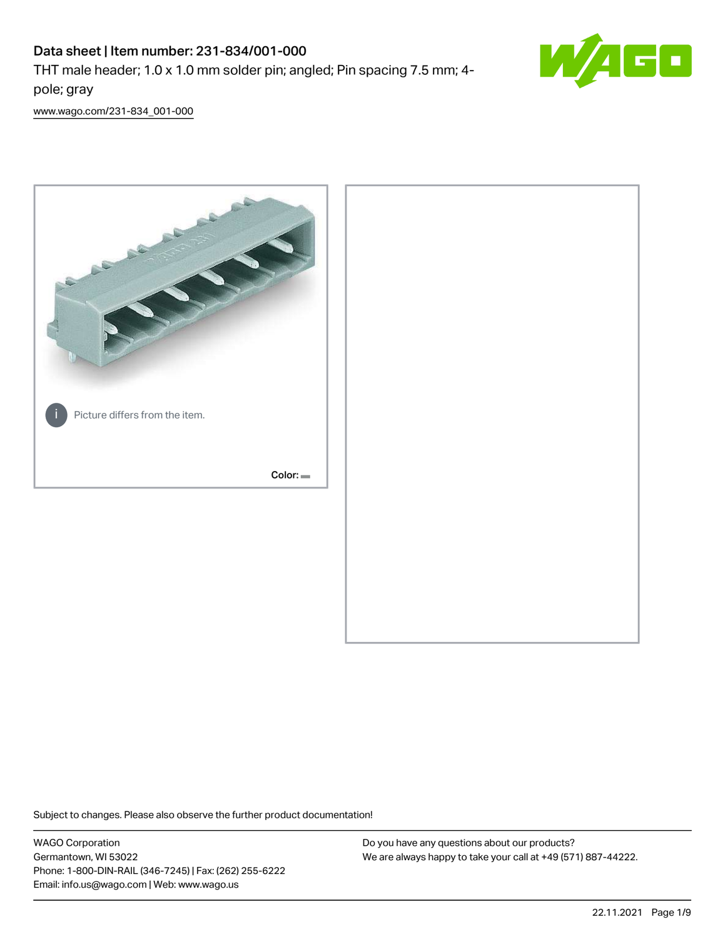# Data sheet | Item number: 231-834/001-000

THT male header; 1.0 x 1.0 mm solder pin; angled; Pin spacing 7.5 mm; 4 pole; gray



[www.wago.com/231-834\\_001-000](http://www.wago.com/231-834_001-000)



Subject to changes. Please also observe the further product documentation!

WAGO Corporation Germantown, WI 53022 Phone: 1-800-DIN-RAIL (346-7245) | Fax: (262) 255-6222 Email: info.us@wago.com | Web: www.wago.us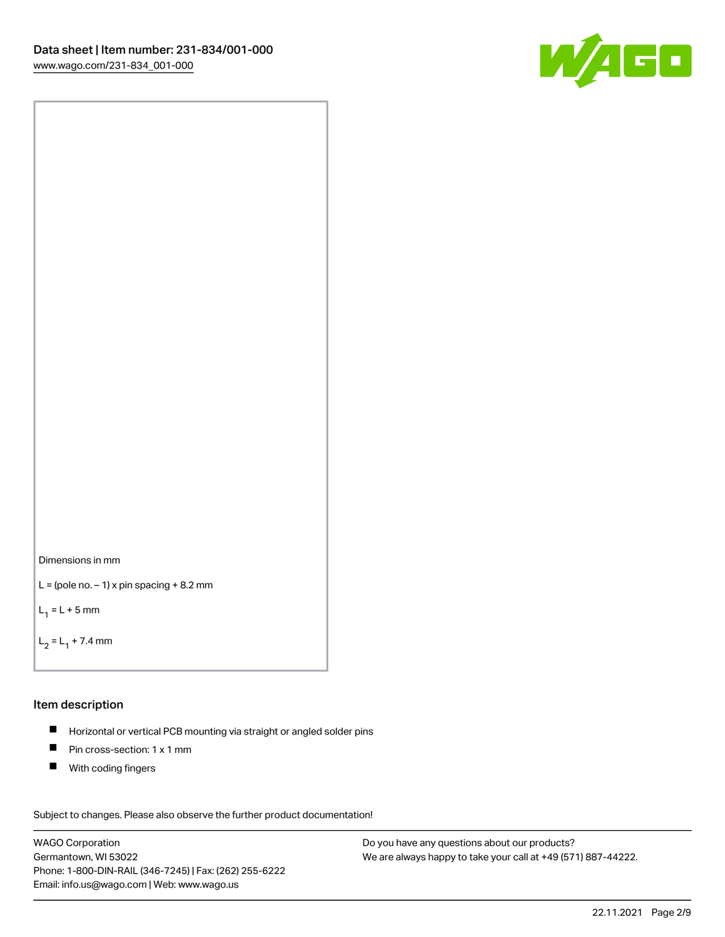



```
L = (pole no. -1) x pin spacing +8.2 mm
```
 $L_1 = L + 5$  mm

```
L_2 = L_1 + 7.4 mm
```
## Item description

- Horizontal or vertical PCB mounting via straight or angled solder pins  $\blacksquare$
- $\blacksquare$ Pin cross-section: 1 x 1 mm
- $\blacksquare$ With coding fingers

Subject to changes. Please also observe the further product documentation! Data

WAGO Corporation Germantown, WI 53022 Phone: 1-800-DIN-RAIL (346-7245) | Fax: (262) 255-6222 Email: info.us@wago.com | Web: www.wago.us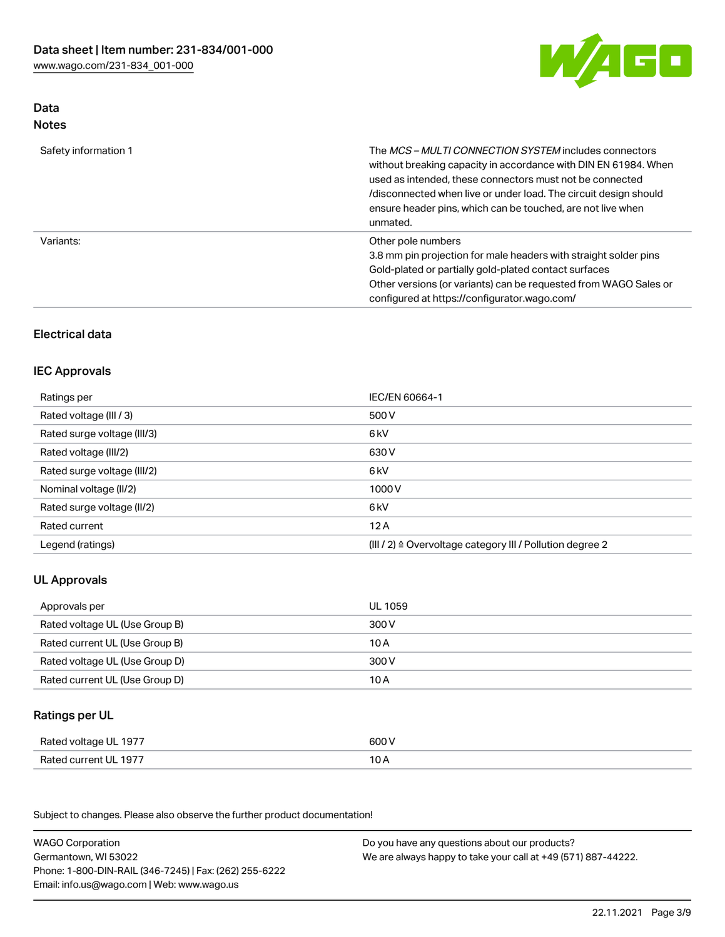

# Data Notes

| Safety information 1 | The <i>MCS – MULTI CONNECTION SYSTEM</i> includes connectors<br>without breaking capacity in accordance with DIN EN 61984. When<br>used as intended, these connectors must not be connected<br>/disconnected when live or under load. The circuit design should<br>ensure header pins, which can be touched, are not live when<br>unmated. |
|----------------------|--------------------------------------------------------------------------------------------------------------------------------------------------------------------------------------------------------------------------------------------------------------------------------------------------------------------------------------------|
| Variants:            | Other pole numbers<br>3.8 mm pin projection for male headers with straight solder pins<br>Gold-plated or partially gold-plated contact surfaces<br>Other versions (or variants) can be requested from WAGO Sales or<br>configured at https://configurator.wago.com/                                                                        |

# Electrical data

# IEC Approvals

| Ratings per                 | IEC/EN 60664-1                                                        |
|-----------------------------|-----------------------------------------------------------------------|
| Rated voltage (III / 3)     | 500 V                                                                 |
| Rated surge voltage (III/3) | 6 kV                                                                  |
| Rated voltage (III/2)       | 630 V                                                                 |
| Rated surge voltage (III/2) | 6 <sub>k</sub> V                                                      |
| Nominal voltage (II/2)      | 1000V                                                                 |
| Rated surge voltage (II/2)  | 6 kV                                                                  |
| Rated current               | 12A                                                                   |
| Legend (ratings)            | $(III / 2)$ $\triangle$ Overvoltage category III / Pollution degree 2 |

# UL Approvals

| Approvals per                  | UL 1059 |
|--------------------------------|---------|
| Rated voltage UL (Use Group B) | 300 V   |
| Rated current UL (Use Group B) | 10 A    |
| Rated voltage UL (Use Group D) | 300 V   |
| Rated current UL (Use Group D) | 10 A    |

## Ratings per UL

| Rated voltage UL 1977 | 600 V |
|-----------------------|-------|
| Rated current UL 1977 | 10    |

| <b>WAGO Corporation</b>                                | Do you have any questions about our products?                 |
|--------------------------------------------------------|---------------------------------------------------------------|
| Germantown, WI 53022                                   | We are always happy to take your call at +49 (571) 887-44222. |
| Phone: 1-800-DIN-RAIL (346-7245)   Fax: (262) 255-6222 |                                                               |
| Email: info.us@wago.com   Web: www.wago.us             |                                                               |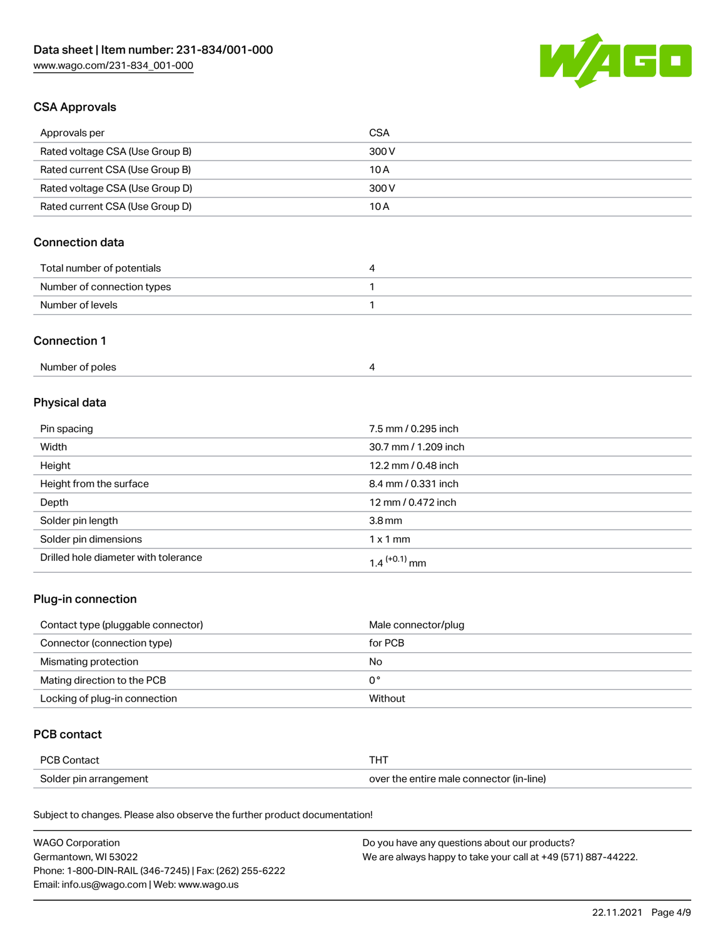

# CSA Approvals

| Approvals per                   | CSA   |
|---------------------------------|-------|
| Rated voltage CSA (Use Group B) | 300 V |
| Rated current CSA (Use Group B) | 10 A  |
| Rated voltage CSA (Use Group D) | 300 V |
| Rated current CSA (Use Group D) | 10 A  |

# Connection data

| Total number of potentials |  |
|----------------------------|--|
| Number of connection types |  |
| Number of levels           |  |

## Connection 1

| Number of poles |  |
|-----------------|--|
|-----------------|--|

# Physical data

| Pin spacing                          | 7.5 mm / 0.295 inch  |
|--------------------------------------|----------------------|
| Width                                | 30.7 mm / 1.209 inch |
| Height                               | 12.2 mm / 0.48 inch  |
| Height from the surface              | 8.4 mm / 0.331 inch  |
| Depth                                | 12 mm / 0.472 inch   |
| Solder pin length                    | 3.8 <sub>mm</sub>    |
| Solder pin dimensions                | $1 \times 1$ mm      |
| Drilled hole diameter with tolerance | $1.4$ $(+0.1)$ mm    |

# Plug-in connection

| Contact type (pluggable connector) | Male connector/plug |
|------------------------------------|---------------------|
| Connector (connection type)        | for PCB             |
| Mismating protection               | No                  |
| Mating direction to the PCB        | 0°                  |
| Locking of plug-in connection      | Without             |

# PCB contact

| <b>PCB Contact</b>     | <b>THT</b>                               |
|------------------------|------------------------------------------|
| Solder pin arrangement | over the entire male connector (in-line) |

| <b>WAGO Corporation</b>                                | Do you have any questions about our products?                 |
|--------------------------------------------------------|---------------------------------------------------------------|
| Germantown, WI 53022                                   | We are always happy to take your call at +49 (571) 887-44222. |
| Phone: 1-800-DIN-RAIL (346-7245)   Fax: (262) 255-6222 |                                                               |
| Email: info.us@wago.com   Web: www.wago.us             |                                                               |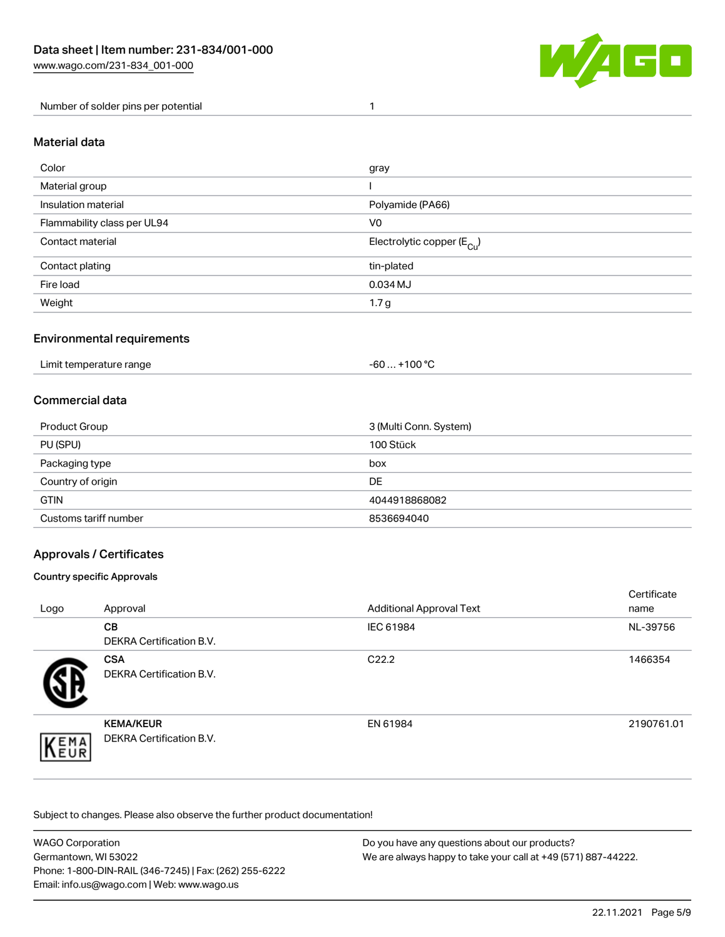

Number of solder pins per potential 1

## Material data

| Color                       | gray                                    |
|-----------------------------|-----------------------------------------|
| Material group              |                                         |
| Insulation material         | Polyamide (PA66)                        |
| Flammability class per UL94 | V <sub>0</sub>                          |
| Contact material            | Electrolytic copper ( $E_{\text{Cu}}$ ) |
| Contact plating             | tin-plated                              |
| Fire load                   | 0.034 MJ                                |
| Weight                      | 1.7 <sub>g</sub>                        |

## Environmental requirements

Limit temperature range  $-60... +100$  °C

## Commercial data

| Product Group         | 3 (Multi Conn. System) |
|-----------------------|------------------------|
| PU (SPU)              | 100 Stück              |
| Packaging type        | box                    |
| Country of origin     | DE                     |
| <b>GTIN</b>           | 4044918868082          |
| Customs tariff number | 8536694040             |

## Approvals / Certificates

## Country specific Approvals

| Logo                | Approval                                            | <b>Additional Approval Text</b> | Certificate<br>name |
|---------------------|-----------------------------------------------------|---------------------------------|---------------------|
|                     | <b>CB</b><br><b>DEKRA Certification B.V.</b>        | IEC 61984                       | NL-39756            |
|                     | <b>CSA</b><br>DEKRA Certification B.V.              | C <sub>22.2</sub>               | 1466354             |
| EMA<br><b>INEUR</b> | <b>KEMA/KEUR</b><br><b>DEKRA Certification B.V.</b> | EN 61984                        | 2190761.01          |

| <b>WAGO Corporation</b>                                | Do you have any questions about our products?                 |
|--------------------------------------------------------|---------------------------------------------------------------|
| Germantown, WI 53022                                   | We are always happy to take your call at +49 (571) 887-44222. |
| Phone: 1-800-DIN-RAIL (346-7245)   Fax: (262) 255-6222 |                                                               |
| Email: info.us@wago.com   Web: www.wago.us             |                                                               |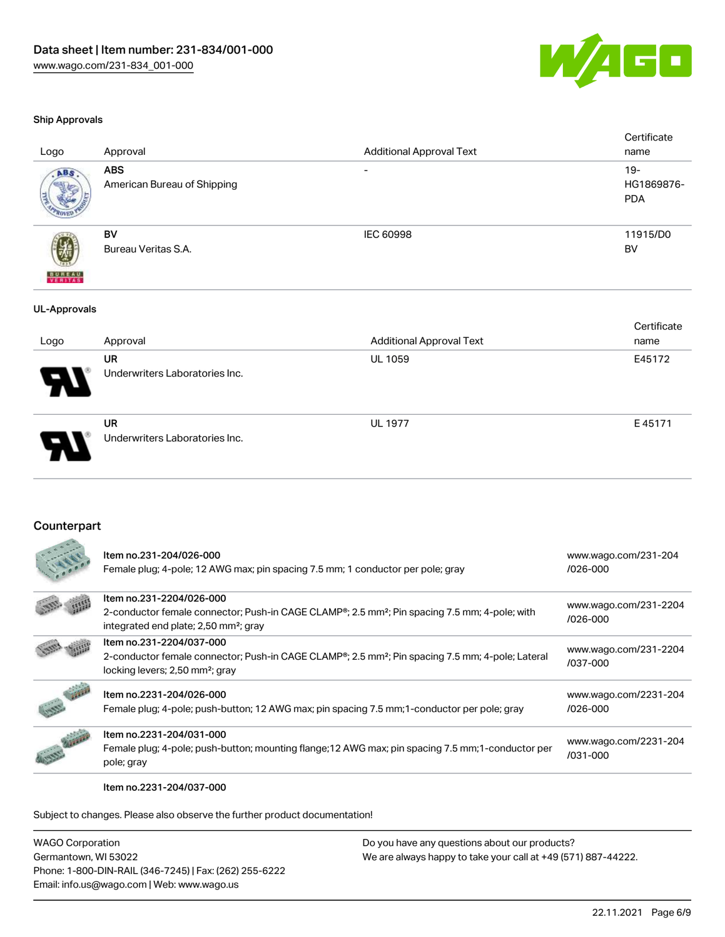Underwriters Laboratories Inc.



#### Ship Approvals

|                          | <b>UR</b>                                 | <b>UL 1059</b>                  | E45172                             |
|--------------------------|-------------------------------------------|---------------------------------|------------------------------------|
| Logo                     | Approval                                  | <b>Additional Approval Text</b> | name                               |
| <b>UL-Approvals</b>      |                                           |                                 | Certificate                        |
| <b>BUREAU</b><br>VERITAS | <b>BV</b><br>Bureau Veritas S.A.          | IEC 60998                       | 11915/D0<br><b>BV</b>              |
| ABS.                     | <b>ABS</b><br>American Bureau of Shipping | $\overline{\phantom{0}}$        | $19 -$<br>HG1869876-<br><b>PDA</b> |
| Logo                     | Approval                                  | <b>Additional Approval Text</b> | Certificate<br>name                |

| $\mathbf{A}$        |                                |                |        |
|---------------------|--------------------------------|----------------|--------|
|                     | <b>UR</b>                      | <b>UL 1977</b> | E45171 |
| n T<br>$\mathbf{A}$ | Underwriters Laboratories Inc. |                |        |

## Counterpart

|               | Item no.231-204/026-000<br>Female plug; 4-pole; 12 AWG max; pin spacing 7.5 mm; 1 conductor per pole; gray                                                                                              | www.wago.com/231-204<br>$1026 - 000$  |
|---------------|---------------------------------------------------------------------------------------------------------------------------------------------------------------------------------------------------------|---------------------------------------|
|               | Item no.231-2204/026-000<br>2-conductor female connector; Push-in CAGE CLAMP <sup>®</sup> ; 2.5 mm <sup>2</sup> ; Pin spacing 7.5 mm; 4-pole; with<br>integrated end plate; 2,50 mm <sup>2</sup> ; gray | www.wago.com/231-2204<br>$1026 - 000$ |
|               | Item no.231-2204/037-000<br>2-conductor female connector; Push-in CAGE CLAMP <sup>®</sup> ; 2.5 mm <sup>2</sup> ; Pin spacing 7.5 mm; 4-pole; Lateral<br>locking levers; 2,50 mm <sup>2</sup> ; gray    | www.wago.com/231-2204<br>/037-000     |
|               | Item no.2231-204/026-000<br>Female plug; 4-pole; push-button; 12 AWG max; pin spacing 7.5 mm; 1-conductor per pole; gray                                                                                | www.wago.com/2231-204<br>/026-000     |
| $\mathcal{L}$ | Item no.2231-204/031-000<br>Female plug; 4-pole; push-button; mounting flange; 12 AWG max; pin spacing 7.5 mm; 1-conductor per<br>pole; gray                                                            | www.wago.com/2231-204<br>/031-000     |

Item no.2231-204/037-000

Subject to changes. Please also observe the further product documentation!

WAGO Corporation Germantown, WI 53022 Phone: 1-800-DIN-RAIL (346-7245) | Fax: (262) 255-6222 Email: info.us@wago.com | Web: www.wago.us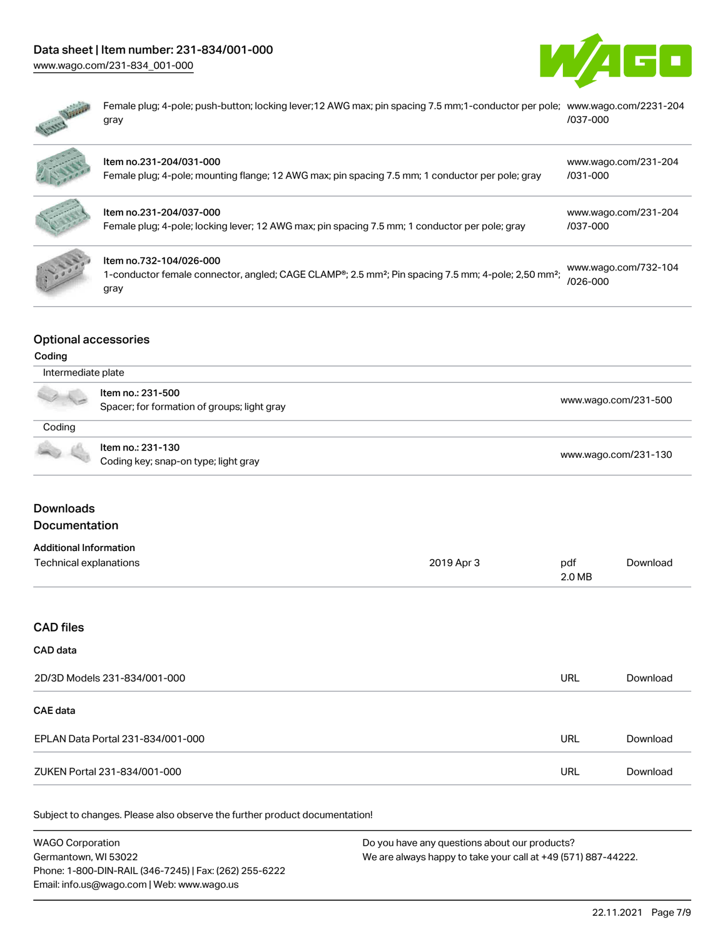# Data sheet | Item number: 231-834/001-000

[www.wago.com/231-834\\_001-000](http://www.wago.com/231-834_001-000)





Female plug; 4-pole; push-button; locking lever;12 AWG max; pin spacing 7.5 mm;1-conductor per pole; [www.wago.com/2231-204](https://www.wago.com/2231-204/037-000) gray [/037-000](https://www.wago.com/2231-204/037-000)

|                                                                                                                                                                                                                                                                                                                                                     | Item no.231-204/031-000<br>Female plug; 4-pole; mounting flange; 12 AWG max; pin spacing 7.5 mm; 1 conductor per pole; gray                                    | www.wago.com/231-204<br>/031-000     |
|-----------------------------------------------------------------------------------------------------------------------------------------------------------------------------------------------------------------------------------------------------------------------------------------------------------------------------------------------------|----------------------------------------------------------------------------------------------------------------------------------------------------------------|--------------------------------------|
| $\begin{picture}(180,10) \put(0,0){\line(1,0){10}} \put(10,0){\line(1,0){10}} \put(10,0){\line(1,0){10}} \put(10,0){\line(1,0){10}} \put(10,0){\line(1,0){10}} \put(10,0){\line(1,0){10}} \put(10,0){\line(1,0){10}} \put(10,0){\line(1,0){10}} \put(10,0){\line(1,0){10}} \put(10,0){\line(1,0){10}} \put(10,0){\line(1,0){10}} \put(10,0){\line($ | Item no.231-204/037-000<br>Female plug; 4-pole; locking lever; 12 AWG max; pin spacing 7.5 mm; 1 conductor per pole; gray                                      | www.wago.com/231-204<br>/037-000     |
|                                                                                                                                                                                                                                                                                                                                                     | Item no.732-104/026-000<br>1-conductor female connector, angled; CAGE CLAMP®; 2.5 mm <sup>2</sup> ; Pin spacing 7.5 mm; 4-pole; 2,50 mm <sup>2</sup> ;<br>gray | www.wago.com/732-104<br>$/026 - 000$ |

## Optional accessories

### Coding

|                                                                                                                                                                                                                                      | Intermediate plate                                               |                      |  |
|--------------------------------------------------------------------------------------------------------------------------------------------------------------------------------------------------------------------------------------|------------------------------------------------------------------|----------------------|--|
|                                                                                                                                                                                                                                      | Item no.: 231-500<br>Spacer; for formation of groups; light gray | www.wago.com/231-500 |  |
| Coding                                                                                                                                                                                                                               |                                                                  |                      |  |
| <b>Contract Contract Contract Contract Contract Contract Contract Contract Contract Contract Contract Contract Contract Contract Contract Contract Contract Contract Contract Contract Contract Contract Contract Contract Contr</b> | Item no.: 231-130<br>Coding key; snap-on type; light gray        | www.wago.com/231-130 |  |

# Downloads

**Documentation** 

# Additional Information

| Auuluvilai IIII viiliauvil |            |        |          |
|----------------------------|------------|--------|----------|
| Technical explanations     | 2019 Apr 3 | pdf    | Download |
|                            |            | 2.0 MB |          |

## CAD files

# CAD data

| 2D/3D Models 231-834/001-000      | URL | Download |
|-----------------------------------|-----|----------|
| <b>CAE</b> data                   |     |          |
| EPLAN Data Portal 231-834/001-000 | URL | Download |
| ZUKEN Portal 231-834/001-000      | URL | Download |

| <b>WAGO Corporation</b>                                | Do you have any questions about our products?                 |
|--------------------------------------------------------|---------------------------------------------------------------|
| Germantown, WI 53022                                   | We are always happy to take your call at +49 (571) 887-44222. |
| Phone: 1-800-DIN-RAIL (346-7245)   Fax: (262) 255-6222 |                                                               |
| Email: info.us@wago.com   Web: www.wago.us             |                                                               |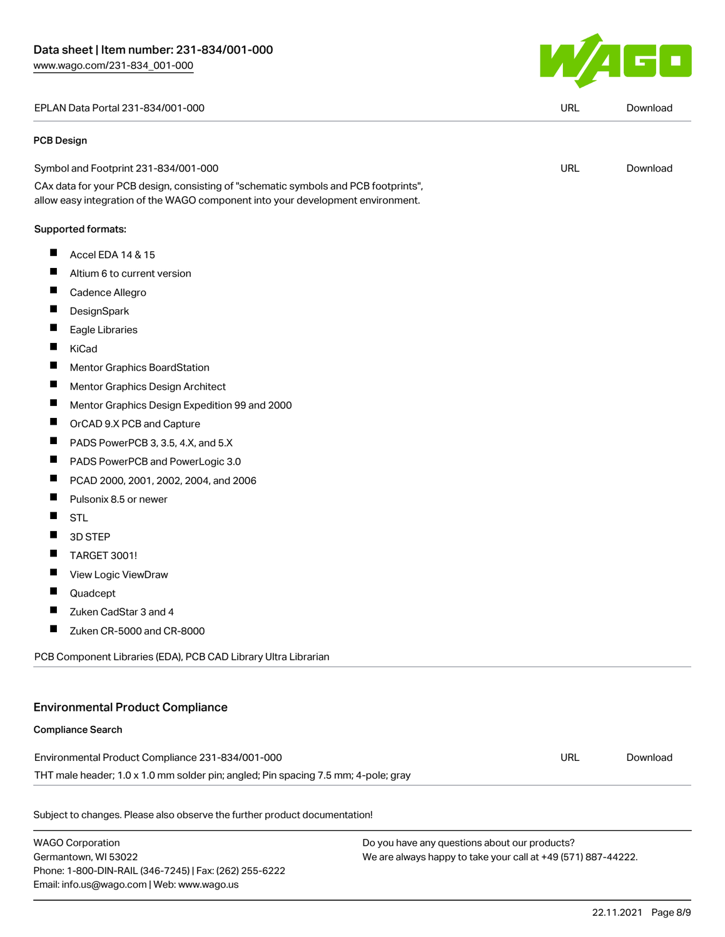#### EPLAN Data Portal 231-834/001-000 URL [Download](https://www.wago.com/global/d/EPLAN_URLS_231-834_001-000)

#### PCB Design

| Symbol and Footprint 231-834/001-000                                                | URL | Download |
|-------------------------------------------------------------------------------------|-----|----------|
| CAx data for your PCB design, consisting of "schematic symbols and PCB footprints", |     |          |

allow easy integration of the WAGO component into your development environment.

#### Supported formats:

- $\blacksquare$ Accel EDA 14 & 15
- $\blacksquare$ Altium 6 to current version
- П Cadence Allegro
- П **DesignSpark**
- П Eagle Libraries
- П KiCad
- $\blacksquare$ Mentor Graphics BoardStation
- $\blacksquare$ Mentor Graphics Design Architect
- $\blacksquare$ Mentor Graphics Design Expedition 99 and 2000
- $\blacksquare$ OrCAD 9.X PCB and Capture
- $\blacksquare$ PADS PowerPCB 3, 3.5, 4.X, and 5.X
- $\blacksquare$ PADS PowerPCB and PowerLogic 3.0
- П PCAD 2000, 2001, 2002, 2004, and 2006
- $\blacksquare$ Pulsonix 8.5 or newer
- $\blacksquare$ STL
- $\blacksquare$ 3D STEP
- $\blacksquare$ TARGET 3001!
- $\blacksquare$ View Logic ViewDraw
- $\blacksquare$ Quadcept
- $\blacksquare$ Zuken CadStar 3 and 4
- $\blacksquare$ Zuken CR-5000 and CR-8000

PCB Component Libraries (EDA), PCB CAD Library Ultra Librarian

## Environmental Product Compliance

## Compliance Search

Environmental Product Compliance 231-834/001-000 THT male header; 1.0 x 1.0 mm solder pin; angled; Pin spacing 7.5 mm; 4-pole; gray URL [Download](https://www.wago.com/global/d/ComplianceLinkMediaContainer_231-834_001-000)

Subject to changes. Please also observe the further product documentation!

WAGO Corporation Germantown, WI 53022 Phone: 1-800-DIN-RAIL (346-7245) | Fax: (262) 255-6222 Email: info.us@wago.com | Web: www.wago.us